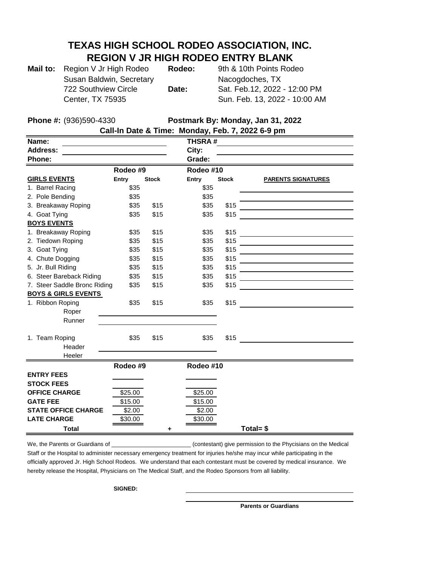## **TEXAS HIGH SCHOOL RODEO ASSOCIATION, INC. REGION V JR HIGH RODEO ENTRY BLANK**

| Mail to: Region V Jr High Rodeo | Rodeo: | 9th & 10th Points Rodeo       |
|---------------------------------|--------|-------------------------------|
| Susan Baldwin, Secretary        |        | Nacogdoches, TX               |
| 722 Southview Circle            | Date:  | Sat. Feb.12, 2022 - 12:00 PM  |
| <b>Center, TX 75935</b>         |        | Sun. Feb. 13, 2022 - 10:00 AM |

**Phone #:** (936)590-4330 **Postmark By: Monday, Jan 31, 2022**

| Call-In Date & Time: Monday, Feb. 7, 2022 6-9 pm |          |              |               |              |                           |  |  |  |  |
|--------------------------------------------------|----------|--------------|---------------|--------------|---------------------------|--|--|--|--|
| Name:                                            |          |              | <b>THSRA#</b> |              |                           |  |  |  |  |
| <b>Address:</b>                                  |          | City:        |               |              |                           |  |  |  |  |
| Phone:                                           |          | Grade:       |               |              |                           |  |  |  |  |
| Rodeo #9                                         |          | Rodeo #10    |               |              |                           |  |  |  |  |
| <b>GIRLS EVENTS</b>                              | Entry    | <b>Stock</b> | <b>Entry</b>  | <b>Stock</b> | <b>PARENTS SIGNATURES</b> |  |  |  |  |
| 1. Barrel Racing                                 | \$35     |              | \$35          |              |                           |  |  |  |  |
| 2. Pole Bending                                  | \$35     |              | \$35          |              |                           |  |  |  |  |
| 3. Breakaway Roping                              | \$35     | \$15         | \$35          | \$15         |                           |  |  |  |  |
| 4. Goat Tying                                    | \$35     | \$15         | \$35          | \$15         |                           |  |  |  |  |
| <b>BOYS EVENTS</b>                               |          |              |               |              |                           |  |  |  |  |
| 1. Breakaway Roping                              | \$35     | \$15         | \$35          | \$15         |                           |  |  |  |  |
| 2. Tiedown Roping                                | \$35     | \$15         | \$35          | \$15         |                           |  |  |  |  |
| 3. Goat Tying                                    | \$35     | \$15         | \$35          | \$15         |                           |  |  |  |  |
| 4. Chute Dogging                                 | \$35     | \$15         | \$35          | \$15         |                           |  |  |  |  |
| 5. Jr. Bull Riding                               | \$35     | \$15         | \$35          | \$15         |                           |  |  |  |  |
| 6. Steer Bareback Riding                         | \$35     | \$15         | \$35          | \$15         |                           |  |  |  |  |
| 7. Steer Saddle Bronc Riding                     | \$35     | \$15         | \$35          | \$15         |                           |  |  |  |  |
| <b>BOYS &amp; GIRLS EVENTS</b>                   |          |              |               |              |                           |  |  |  |  |
| 1. Ribbon Roping                                 | \$35     | \$15         | \$35          | \$15         |                           |  |  |  |  |
| Roper                                            |          |              |               |              |                           |  |  |  |  |
| Runner                                           |          |              |               |              |                           |  |  |  |  |
|                                                  |          |              |               |              |                           |  |  |  |  |
| 1. Team Roping                                   | \$35     | \$15         | \$35          | \$15         |                           |  |  |  |  |
| Header                                           |          |              |               |              |                           |  |  |  |  |
| Heeler                                           |          |              |               |              |                           |  |  |  |  |
|                                                  | Rodeo #9 |              | Rodeo #10     |              |                           |  |  |  |  |
| <b>ENTRY FEES</b>                                |          |              |               |              |                           |  |  |  |  |
| <b>STOCK FEES</b>                                |          |              |               |              |                           |  |  |  |  |
| <b>OFFICE CHARGE</b>                             | \$25.00  |              | \$25.00       |              |                           |  |  |  |  |
| <b>GATE FEE</b>                                  | \$15.00  |              | \$15.00       |              |                           |  |  |  |  |
| <b>STATE OFFICE CHARGE</b>                       | \$2.00   |              | \$2.00        |              |                           |  |  |  |  |
| <b>LATE CHARGE</b>                               | \$30.00  |              | \$30.00       |              |                           |  |  |  |  |
| <b>Total</b>                                     |          | ٠            |               |              | Total= $$$                |  |  |  |  |

We, the Parents or Guardians of \_\_\_\_\_\_\_\_\_\_\_\_\_\_\_\_\_\_\_\_\_\_\_\_\_\_\_\_\_(contestant) give permission to the Phycisians on the Medical Staff or the Hospital to administer necessary emergency treatment for injuries he/she may incur while participating in the officially approved Jr. High School Rodeos. We understand that each contestant must be covered by medical insurance. We hereby release the Hospital, Physicians on The Medical Staff, and the Rodeo Sponsors from all liability.

**SIGNED:** 

**Parents or Guardians**